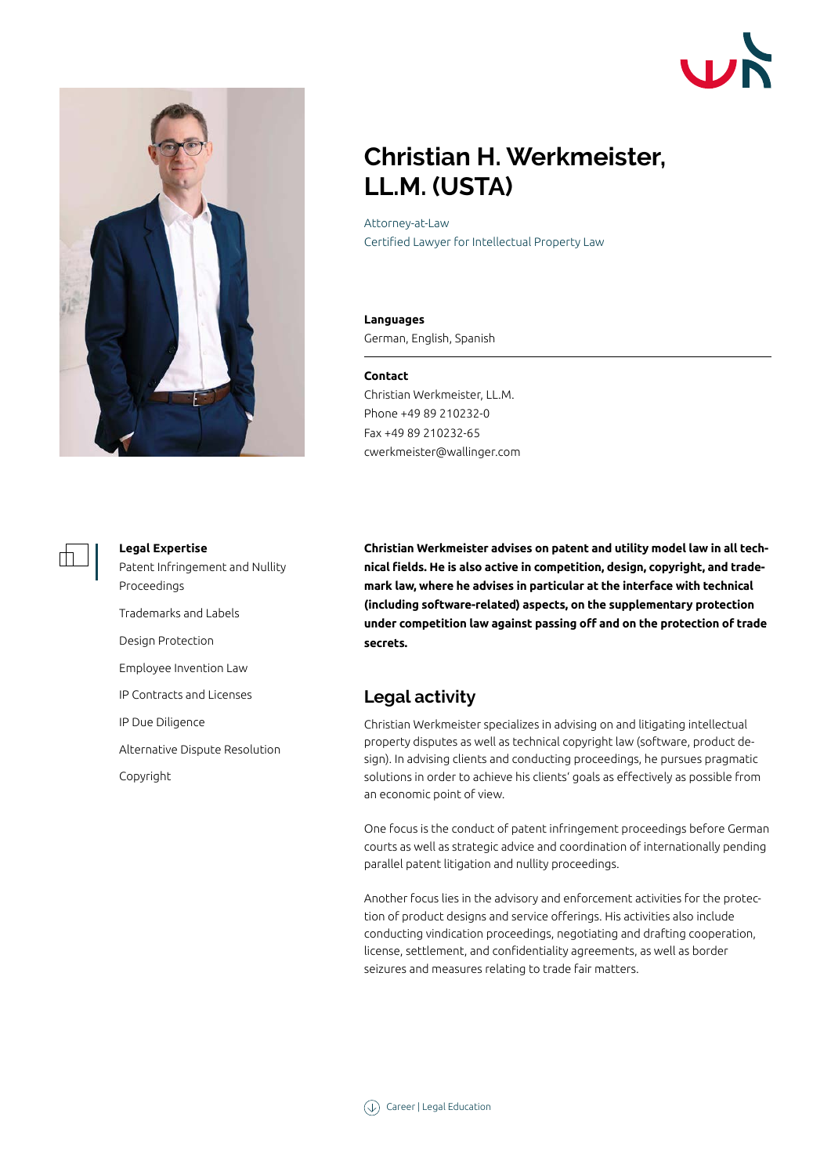



# **Christian H. Werkmeister, LL.M. (USTA)**

Attorney-at-Law Certified Lawyer for Intellectual Property Law

#### **Languages**

German, English, Spanish

#### **Contact**

Christian Werkmeister, LL.M. Phone +49 89 210232-0 Fax +49 89 210232-65 cwerkmeister@wallinger.com



#### **Legal Expertise**

Patent Infringement and Nullity Proceedings Trademarks and Labels Design Protection

Employee Invention Law

IP Contracts and Licenses

IP Due Diligence

Alternative Dispute Resolution

Copyright

**Christian Werkmeister advises on patent and utility model law in all technical fields. He is also active in competition, design, copyright, and trademark law, where he advises in particular at the interface with technical (including software-related) aspects, on the supplementary protection under competition law against passing off and on the protection of trade secrets.**

## **Legal activity**

Christian Werkmeister specializes in advising on and litigating intellectual property disputes as well as technical copyright law (software, product design). In advising clients and conducting proceedings, he pursues pragmatic solutions in order to achieve his clients' goals as effectively as possible from an economic point of view.

One focus is the conduct of patent infringement proceedings before German courts as well as strategic advice and coordination of internationally pending parallel patent litigation and nullity proceedings.

Another focus lies in the advisory and enforcement activities for the protection of product designs and service offerings. His activities also include conducting vindication proceedings, negotiating and drafting cooperation, license, settlement, and confidentiality agreements, as well as border seizures and measures relating to trade fair matters.

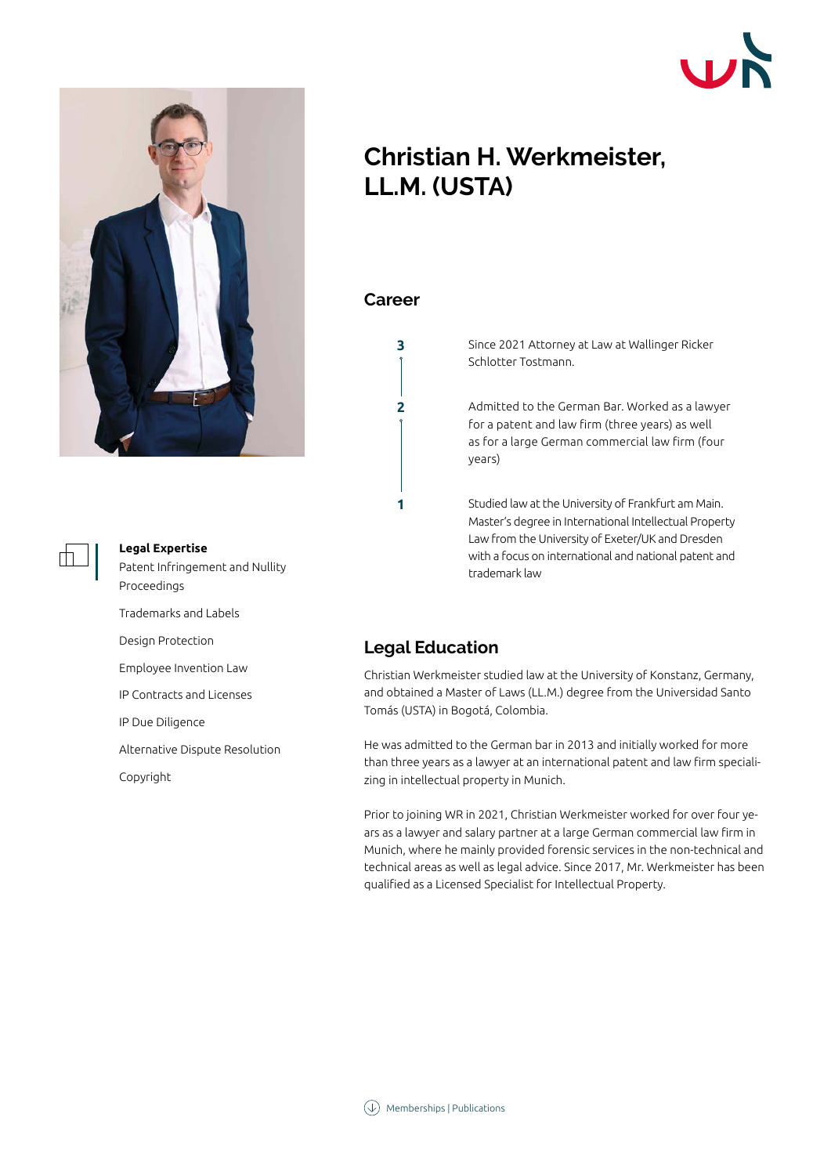

### **Legal Expertise**

Patent Infringement and Nullity Proceedings

Trademarks and Labels

Design Protection

Employee Invention Law

IP Contracts and Licenses

IP Due Diligence

Alternative Dispute Resolution

Copyright

# **Christian H. Werkmeister, LL.M. (USTA)**

### **Career**

**2**

**3**

**1**

Since 2021 Attorney at Law at Wallinger Ricker Schlotter Tostmann.

Admitted to the German Bar. Worked as a lawyer for a patent and law firm (three years) as well as for a large German commercial law firm (four years)

Studied law at the University of Frankfurt am Main. Master's degree in International Intellectual Property Law from the University of Exeter/UK and Dresden with a focus on international and national patent and trademark law

## **Legal Education**

Christian Werkmeister studied law at the University of Konstanz, Germany, and obtained a Master of Laws (LL.M.) degree from the Universidad Santo Tomás (USTA) in Bogotá, Colombia.

He was admitted to the German bar in 2013 and initially worked for more than three years as a lawyer at an international patent and law firm specializing in intellectual property in Munich.

Prior to joining WR in 2021, Christian Werkmeister worked for over four years as a lawyer and salary partner at a large German commercial law firm in Munich, where he mainly provided forensic services in the non-technical and technical areas as well as legal advice. Since 2017, Mr. Werkmeister has been qualified as a Licensed Specialist for Intellectual Property.